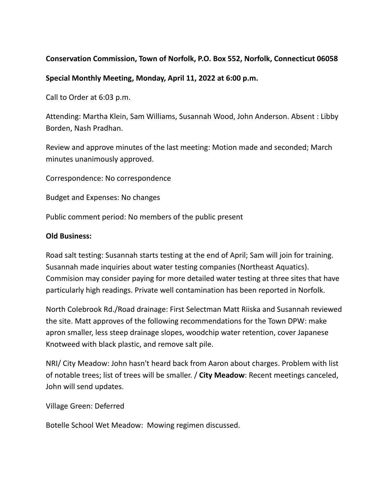## **Conservation Commission, Town of Norfolk, P.O. Box 552, Norfolk, Connecticut 06058**

## **Special Monthly Meeting, Monday, April 11, 2022 at 6:00 p.m.**

Call to Order at 6:03 p.m.

Attending: Martha Klein, Sam Williams, Susannah Wood, John Anderson. Absent : Libby Borden, Nash Pradhan.

Review and approve minutes of the last meeting: Motion made and seconded; March minutes unanimously approved.

Correspondence: No correspondence

Budget and Expenses: No changes

Public comment period: No members of the public present

## **Old Business:**

Road salt testing: Susannah starts testing at the end of April; Sam will join for training. Susannah made inquiries about water testing companies (Northeast Aquatics). Commision may consider paying for more detailed water testing at three sites that have particularly high readings. Private well contamination has been reported in Norfolk.

North Colebrook Rd./Road drainage: First Selectman Matt Riiska and Susannah reviewed the site. Matt approves of the following recommendations for the Town DPW: make apron smaller, less steep drainage slopes, woodchip water retention, cover Japanese Knotweed with black plastic, and remove salt pile.

NRI/ City Meadow: John hasn't heard back from Aaron about charges. Problem with list of notable trees; list of trees will be smaller. / **City Meadow**: Recent meetings canceled, John will send updates.

Village Green: Deferred

Botelle School Wet Meadow: Mowing regimen discussed.